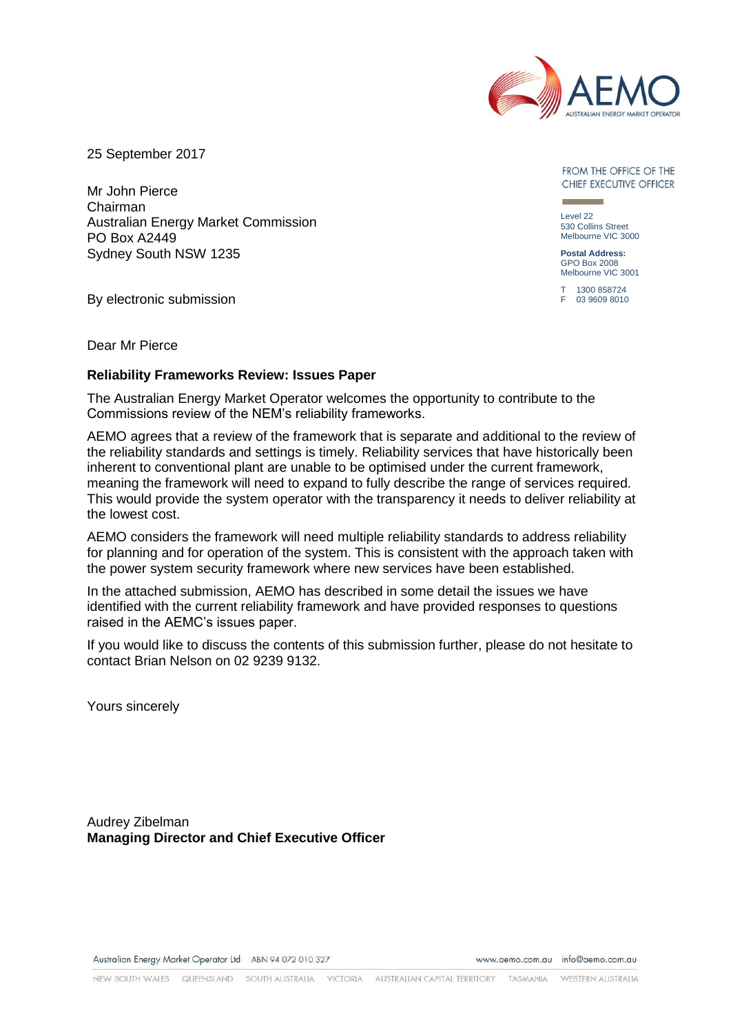

25 September 2017

Mr John Pierce Chairman Australian Energy Market Commission PO Box A2449 Sydney South NSW 1235

By electronic submission

FROM THE OFFICE OF THE CHIEF EXECUTIVE OFFICER

Level 22 530 Collins Street Melbourne VIC 3000

**Postal Address:** GPO Box 2008 Melbourne VIC 3001

T 1300 858724 F 03 9609 8010

Dear Mr Pierce

### **Reliability Frameworks Review: Issues Paper**

The Australian Energy Market Operator welcomes the opportunity to contribute to the Commissions review of the NEM's reliability frameworks.

AEMO agrees that a review of the framework that is separate and additional to the review of the reliability standards and settings is timely. Reliability services that have historically been inherent to conventional plant are unable to be optimised under the current framework, meaning the framework will need to expand to fully describe the range of services required. This would provide the system operator with the transparency it needs to deliver reliability at the lowest cost.

AEMO considers the framework will need multiple reliability standards to address reliability for planning and for operation of the system. This is consistent with the approach taken with the power system security framework where new services have been established.

In the attached submission, AEMO has described in some detail the issues we have identified with the current reliability framework and have provided responses to questions raised in the AEMC's issues paper.

If you would like to discuss the contents of this submission further, please do not hesitate to contact Brian Nelson on 02 9239 9132.

Yours sincerely

Audrey Zibelman **Managing Director and Chief Executive Officer**

Australian Energy Market Operator Ltd ABN 94 072 010 327

www.gemo.com.gu info@gemo.com.gu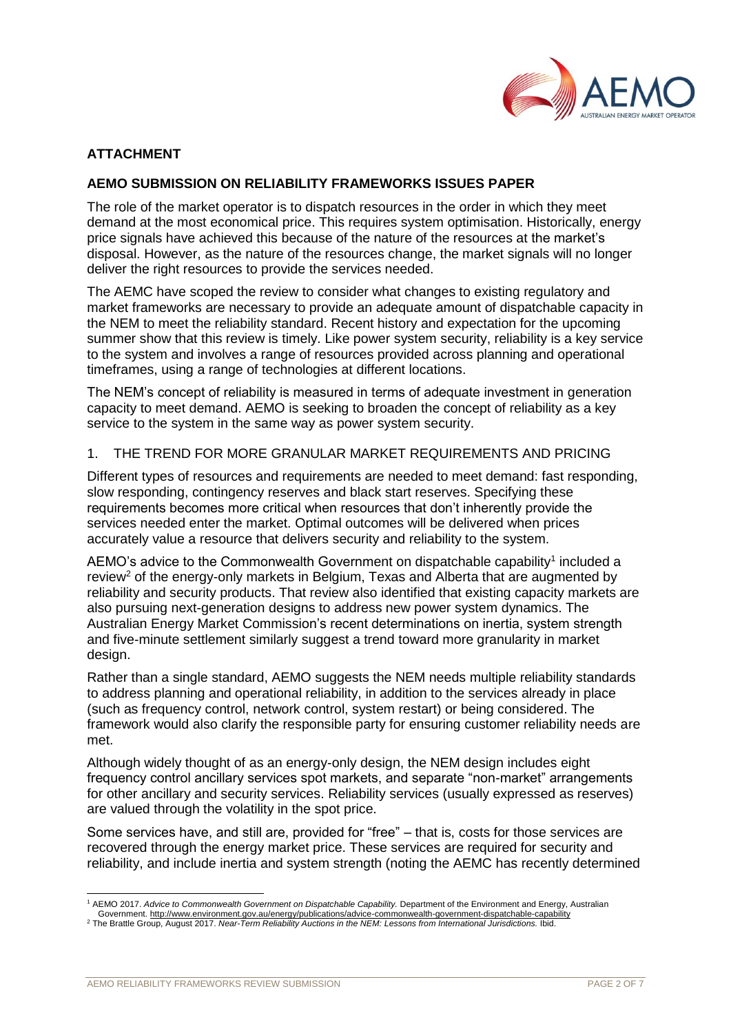

# **ATTACHMENT**

## **AEMO SUBMISSION ON RELIABILITY FRAMEWORKS ISSUES PAPER**

The role of the market operator is to dispatch resources in the order in which they meet demand at the most economical price. This requires system optimisation. Historically, energy price signals have achieved this because of the nature of the resources at the market's disposal. However, as the nature of the resources change, the market signals will no longer deliver the right resources to provide the services needed.

The AEMC have scoped the review to consider what changes to existing regulatory and market frameworks are necessary to provide an adequate amount of dispatchable capacity in the NEM to meet the reliability standard. Recent history and expectation for the upcoming summer show that this review is timely. Like power system security, reliability is a key service to the system and involves a range of resources provided across planning and operational timeframes, using a range of technologies at different locations.

The NEM's concept of reliability is measured in terms of adequate investment in generation capacity to meet demand. AEMO is seeking to broaden the concept of reliability as a key service to the system in the same way as power system security.

#### 1. THE TREND FOR MORE GRANULAR MARKET REQUIREMENTS AND PRICING

Different types of resources and requirements are needed to meet demand: fast responding, slow responding, contingency reserves and black start reserves. Specifying these requirements becomes more critical when resources that don't inherently provide the services needed enter the market. Optimal outcomes will be delivered when prices accurately value a resource that delivers security and reliability to the system.

AEMO's advice to the Commonwealth Government on dispatchable capability<sup>1</sup> included a review<sup>2</sup> of the energy-only markets in Belgium, Texas and Alberta that are augmented by reliability and security products. That review also identified that existing capacity markets are also pursuing next-generation designs to address new power system dynamics. The Australian Energy Market Commission's recent determinations on inertia, system strength and five-minute settlement similarly suggest a trend toward more granularity in market design.

Rather than a single standard, AEMO suggests the NEM needs multiple reliability standards to address planning and operational reliability, in addition to the services already in place (such as frequency control, network control, system restart) or being considered. The framework would also clarify the responsible party for ensuring customer reliability needs are met.

Although widely thought of as an energy-only design, the NEM design includes eight frequency control ancillary services spot markets, and separate "non-market" arrangements for other ancillary and security services. Reliability services (usually expressed as reserves) are valued through the volatility in the spot price.

Some services have, and still are, provided for "free" – that is, costs for those services are recovered through the energy market price. These services are required for security and reliability, and include inertia and system strength (noting the AEMC has recently determined

l <sup>1</sup> AEMO 2017. *Advice to Commonwealth Government on Dispatchable Capability.* Department of the Environment and Energy, Australian Government[. http://www.environment.gov.au/energy/publications/advice-commonwealth-government-dispatchable-capability](http://www.environment.gov.au/energy/publications/advice-commonwealth-government-dispatchable-capability)

<sup>2</sup> The Brattle Group, August 2017. *Near-Term Reliability Auctions in the NEM: Lessons from International Jurisdictions.* Ibid.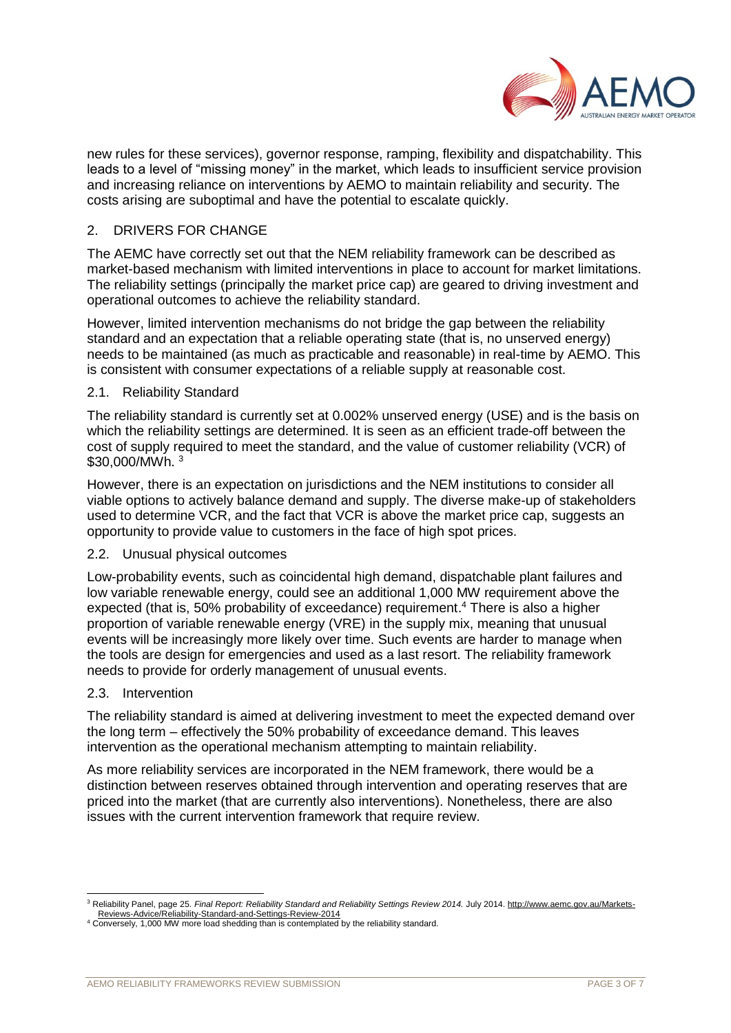

new rules for these services), governor response, ramping, flexibility and dispatchability. This leads to a level of "missing money" in the market, which leads to insufficient service provision and increasing reliance on interventions by AEMO to maintain reliability and security. The costs arising are suboptimal and have the potential to escalate quickly.

## 2. DRIVERS FOR CHANGE

The AEMC have correctly set out that the NEM reliability framework can be described as market-based mechanism with limited interventions in place to account for market limitations. The reliability settings (principally the market price cap) are geared to driving investment and operational outcomes to achieve the reliability standard.

However, limited intervention mechanisms do not bridge the gap between the reliability standard and an expectation that a reliable operating state (that is, no unserved energy) needs to be maintained (as much as practicable and reasonable) in real-time by AEMO. This is consistent with consumer expectations of a reliable supply at reasonable cost.

### 2.1. Reliability Standard

The reliability standard is currently set at 0.002% unserved energy (USE) and is the basis on which the reliability settings are determined. It is seen as an efficient trade-off between the cost of supply required to meet the standard, and the value of customer reliability (VCR) of \$30,000/MWh. 3

However, there is an expectation on jurisdictions and the NEM institutions to consider all viable options to actively balance demand and supply. The diverse make-up of stakeholders used to determine VCR, and the fact that VCR is above the market price cap, suggests an opportunity to provide value to customers in the face of high spot prices.

#### 2.2. Unusual physical outcomes

Low-probability events, such as coincidental high demand, dispatchable plant failures and low variable renewable energy, could see an additional 1,000 MW requirement above the expected (that is, 50% probability of exceedance) requirement. <sup>4</sup> There is also a higher proportion of variable renewable energy (VRE) in the supply mix, meaning that unusual events will be increasingly more likely over time. Such events are harder to manage when the tools are design for emergencies and used as a last resort. The reliability framework needs to provide for orderly management of unusual events.

#### 2.3. Intervention

The reliability standard is aimed at delivering investment to meet the expected demand over the long term – effectively the 50% probability of exceedance demand. This leaves intervention as the operational mechanism attempting to maintain reliability.

As more reliability services are incorporated in the NEM framework, there would be a distinction between reserves obtained through intervention and operating reserves that are priced into the market (that are currently also interventions). Nonetheless, there are also issues with the current intervention framework that require review.

l <sup>3</sup> Reliability Panel, page 25. *Final Report: Reliability Standard and Reliability Settings Review 2014.* July 2014[. http://www.aemc.gov.au/Markets-](http://www.aemc.gov.au/Markets-Reviews-Advice/Reliability-Standard-and-Settings-Review-2014)[Reviews-Advice/Reliability-Standard-and-Settings-Review-2014](http://www.aemc.gov.au/Markets-Reviews-Advice/Reliability-Standard-and-Settings-Review-2014)

<sup>4</sup> Conversely, 1,000 MW more load shedding than is contemplated by the reliability standard.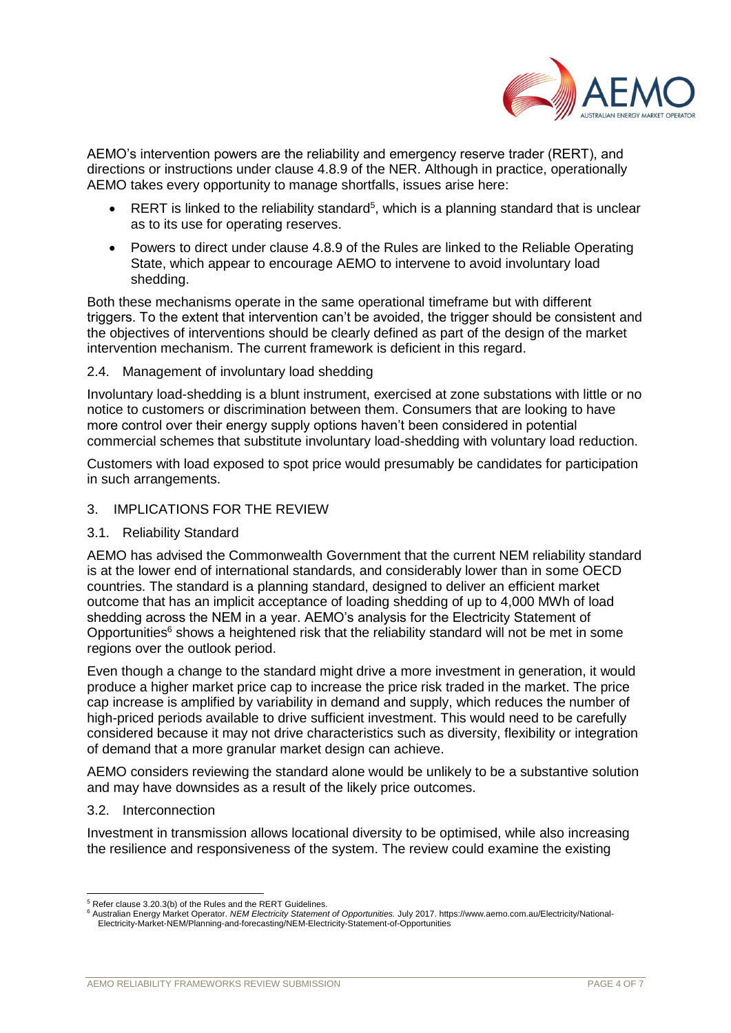

AEMO's intervention powers are the reliability and emergency reserve trader (RERT), and directions or instructions under clause 4.8.9 of the NER. Although in practice, operationally AEMO takes every opportunity to manage shortfalls, issues arise here:

- RERT is linked to the reliability standard<sup>5</sup>, which is a planning standard that is unclear as to its use for operating reserves.
- Powers to direct under clause 4.8.9 of the Rules are linked to the Reliable Operating State, which appear to encourage AEMO to intervene to avoid involuntary load shedding.

Both these mechanisms operate in the same operational timeframe but with different triggers. To the extent that intervention can't be avoided, the trigger should be consistent and the objectives of interventions should be clearly defined as part of the design of the market intervention mechanism. The current framework is deficient in this regard.

2.4. Management of involuntary load shedding

Involuntary load-shedding is a blunt instrument, exercised at zone substations with little or no notice to customers or discrimination between them. Consumers that are looking to have more control over their energy supply options haven't been considered in potential commercial schemes that substitute involuntary load-shedding with voluntary load reduction.

Customers with load exposed to spot price would presumably be candidates for participation in such arrangements.

- 3. IMPLICATIONS FOR THE REVIEW
- 3.1. Reliability Standard

AEMO has advised the Commonwealth Government that the current NEM reliability standard is at the lower end of international standards, and considerably lower than in some OECD countries. The standard is a planning standard, designed to deliver an efficient market outcome that has an implicit acceptance of loading shedding of up to 4,000 MWh of load shedding across the NEM in a year. AEMO's analysis for the Electricity Statement of Opportunities<sup>6</sup> shows a heightened risk that the reliability standard will not be met in some regions over the outlook period.

Even though a change to the standard might drive a more investment in generation, it would produce a higher market price cap to increase the price risk traded in the market. The price cap increase is amplified by variability in demand and supply, which reduces the number of high-priced periods available to drive sufficient investment. This would need to be carefully considered because it may not drive characteristics such as diversity, flexibility or integration of demand that a more granular market design can achieve.

AEMO considers reviewing the standard alone would be unlikely to be a substantive solution and may have downsides as a result of the likely price outcomes.

### 3.2. Interconnection

Investment in transmission allows locational diversity to be optimised, while also increasing the resilience and responsiveness of the system. The review could examine the existing

l <sup>5</sup> Refer clause 3.20.3(b) of the Rules and the RERT Guidelines.

<sup>6</sup> Australian Energy Market Operator. *NEM Electricity Statement of Opportunities.* July 2017. https://www.aemo.com.au/Electricity/National-Electricity-Market-NEM/Planning-and-forecasting/NEM-Electricity-Statement-of-Opportunities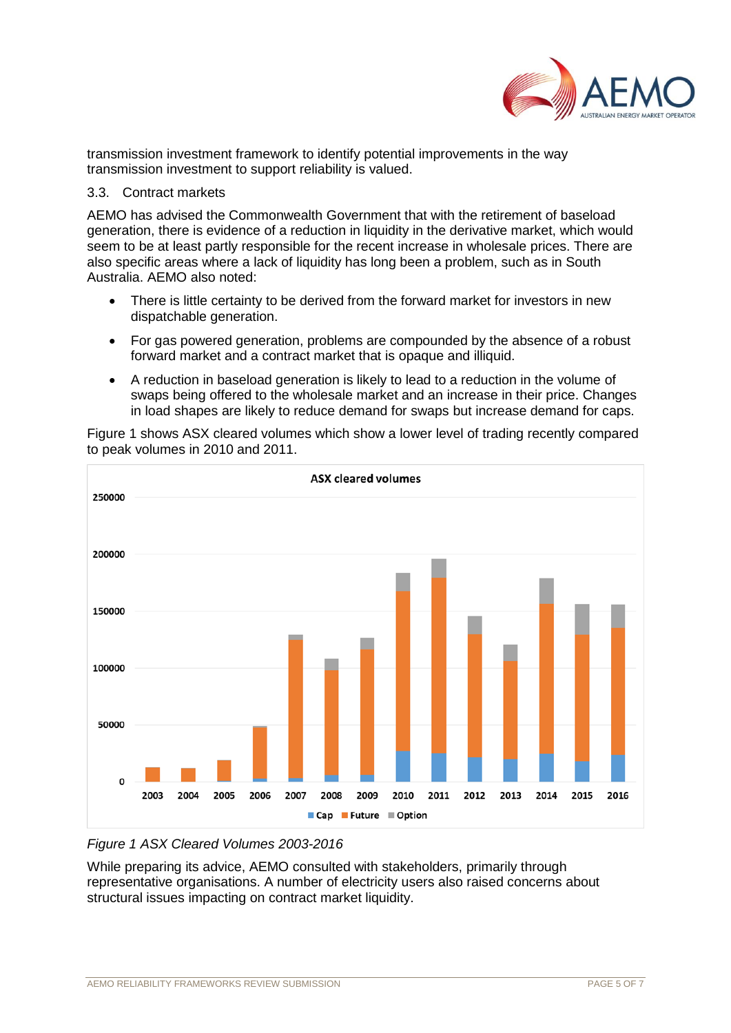

transmission investment framework to identify potential improvements in the way transmission investment to support reliability is valued.

### 3.3. Contract markets

AEMO has advised the Commonwealth Government that with the retirement of baseload generation, there is evidence of a reduction in liquidity in the derivative market, which would seem to be at least partly responsible for the recent increase in wholesale prices. There are also specific areas where a lack of liquidity has long been a problem, such as in South Australia. AEMO also noted:

- There is little certainty to be derived from the forward market for investors in new dispatchable generation.
- For gas powered generation, problems are compounded by the absence of a robust forward market and a contract market that is opaque and illiquid.
- A reduction in baseload generation is likely to lead to a reduction in the volume of swaps being offered to the wholesale market and an increase in their price. Changes in load shapes are likely to reduce demand for swaps but increase demand for caps.

Figure 1 shows ASX cleared volumes which show a lower level of trading recently compared to peak volumes in 2010 and 2011.



# *Figure 1 ASX Cleared Volumes 2003-2016*

While preparing its advice, AEMO consulted with stakeholders, primarily through representative organisations. A number of electricity users also raised concerns about structural issues impacting on contract market liquidity.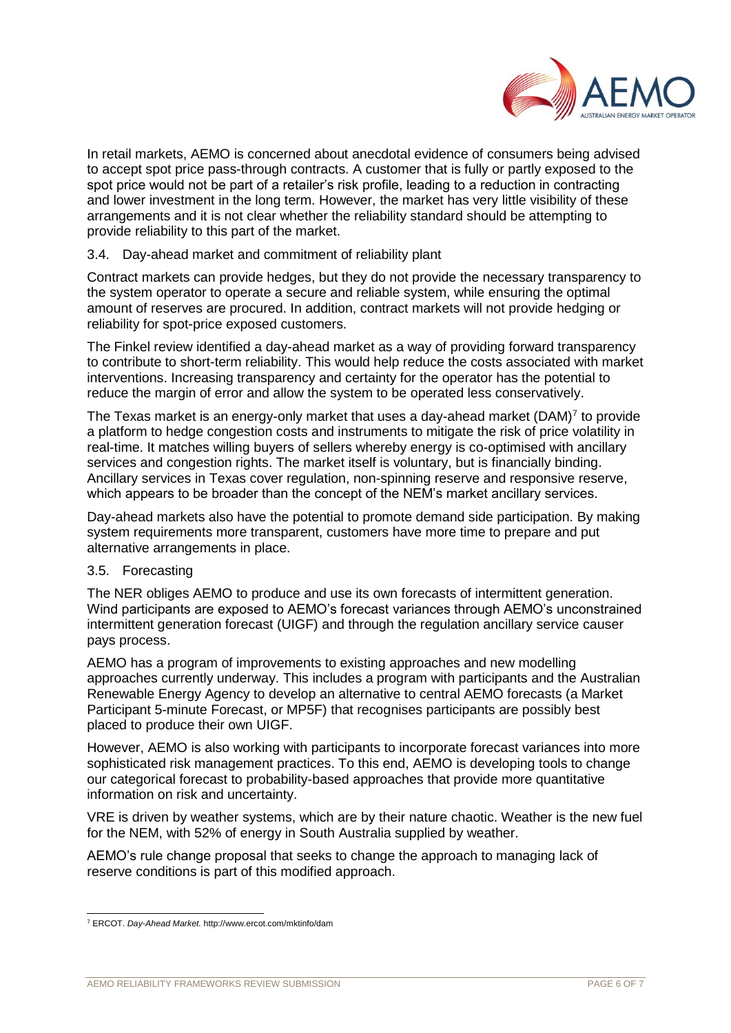

In retail markets, AEMO is concerned about anecdotal evidence of consumers being advised to accept spot price pass-through contracts. A customer that is fully or partly exposed to the spot price would not be part of a retailer's risk profile, leading to a reduction in contracting and lower investment in the long term. However, the market has very little visibility of these arrangements and it is not clear whether the reliability standard should be attempting to provide reliability to this part of the market.

## 3.4. Day-ahead market and commitment of reliability plant

Contract markets can provide hedges, but they do not provide the necessary transparency to the system operator to operate a secure and reliable system, while ensuring the optimal amount of reserves are procured. In addition, contract markets will not provide hedging or reliability for spot-price exposed customers.

The Finkel review identified a day-ahead market as a way of providing forward transparency to contribute to short-term reliability. This would help reduce the costs associated with market interventions. Increasing transparency and certainty for the operator has the potential to reduce the margin of error and allow the system to be operated less conservatively.

The Texas market is an energy-only market that uses a day-ahead market  $(DAM)^7$  to provide a platform to hedge congestion costs and instruments to mitigate the risk of price volatility in real-time. It matches willing buyers of sellers whereby energy is co-optimised with ancillary services and congestion rights. The market itself is voluntary, but is financially binding. Ancillary services in Texas cover regulation, non-spinning reserve and responsive reserve, which appears to be broader than the concept of the NEM's market ancillary services.

Day-ahead markets also have the potential to promote demand side participation. By making system requirements more transparent, customers have more time to prepare and put alternative arrangements in place.

### 3.5. Forecasting

The NER obliges AEMO to produce and use its own forecasts of intermittent generation. Wind participants are exposed to AEMO's forecast variances through AEMO's unconstrained intermittent generation forecast (UIGF) and through the regulation ancillary service causer pays process.

AEMO has a program of improvements to existing approaches and new modelling approaches currently underway. This includes a program with participants and the Australian Renewable Energy Agency to develop an alternative to central AEMO forecasts (a Market Participant 5-minute Forecast, or MP5F) that recognises participants are possibly best placed to produce their own UIGF.

However, AEMO is also working with participants to incorporate forecast variances into more sophisticated risk management practices. To this end, AEMO is developing tools to change our categorical forecast to probability-based approaches that provide more quantitative information on risk and uncertainty.

VRE is driven by weather systems, which are by their nature chaotic. Weather is the new fuel for the NEM, with 52% of energy in South Australia supplied by weather.

AEMO's rule change proposal that seeks to change the approach to managing lack of reserve conditions is part of this modified approach.

l <sup>7</sup> ERCOT. *Day-Ahead Market.* http://www.ercot.com/mktinfo/dam